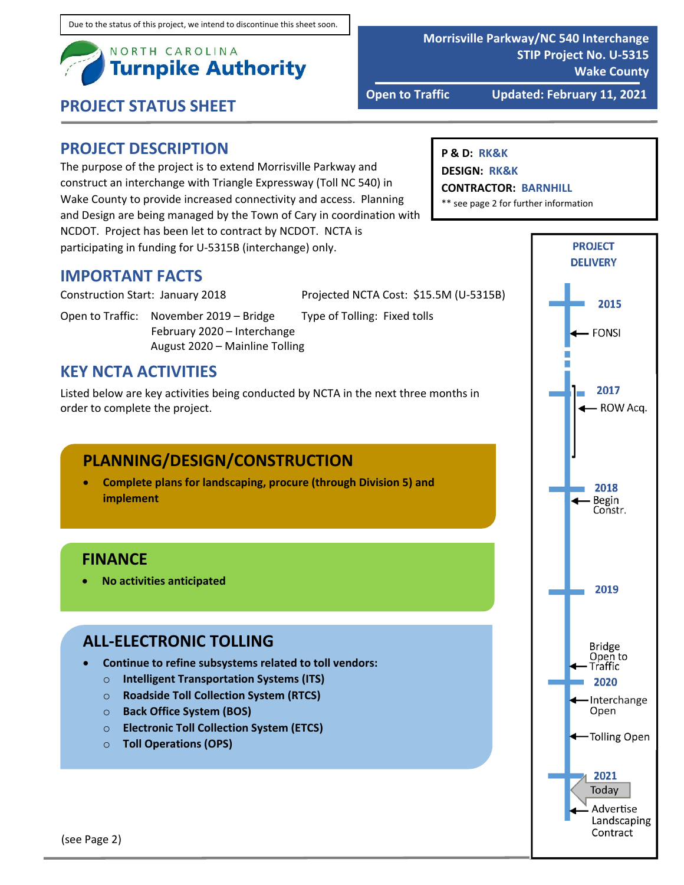

**Open to Traffic Updated: February 11, 2021**

**STIP Project No. U‐5315**

**Wake County**

**Morrisville Parkway/NC 540 Interchange**

#### **PROJECT DESCRIPTION**

The purpose of the project is to extend Morrisville Parkway and construct an interchange with Triangle Expressway (Toll NC 540) in Wake County to provide increased connectivity and access. Planning and Design are being managed by the Town of Cary in coordination with NCDOT. Project has been let to contract by NCDOT. NCTA is participating in funding for U‐5315B (interchange) only.

#### **IMPORTANT FACTS**

Construction Start: January 2018 Projected NCTA Cost: \$15.5M (U‐5315B)

Open to Traffic: November 2019 – Bridge Type of Tolling: Fixed tolls February 2020 – Interchange August 2020 – Mainline Tolling

#### **KEY NCTA ACTIVITIES**

Listed below are key activities being conducted by NCTA in the next three months in order to complete the project.

## **PLANNING/DESIGN/CONSTRUCTION**

 **Complete plans for landscaping, procure (through Division 5) and implement**

#### **FINANCE**

**No activities anticipated**

#### **ALL‐ELECTRONIC TOLLING**

- **Continue to refine subsystems related to toll vendors:**
	- o **Intelligent Transportation Systems (ITS)**
	- o **Roadside Toll Collection System (RTCS)**
	- o **Back Office System (BOS)**
	- o **Electronic Toll Collection System (ETCS)**
	- o **Toll Operations (OPS)**

#### **P & D: RK&K**

**DESIGN: RK&K**

#### **CONTRACTOR: BARNHILL**

\*\* see page 2 for further information

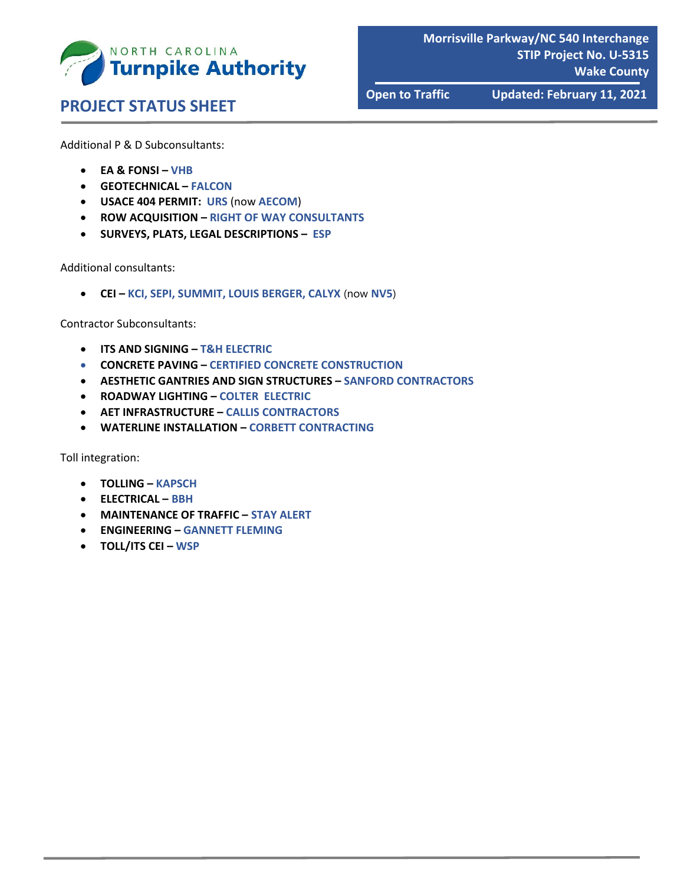

**Morrisville Parkway/NC 540 Interchange STIP Project No. U‐5315 Wake County**

# **PROJECT STATUS SHEET**

**Open to Traffic Updated: February 11, 2021**

Additional P & D Subconsultants:

- **EA & FONSI – VHB**
- **GEOTECHNICAL – FALCON**
- **USACE 404 PERMIT: URS** (now **AECOM**)
- **ROW ACQUISITION – RIGHT OF WAY CONSULTANTS**
- **SURVEYS, PLATS, LEGAL DESCRIPTIONS – ESP**

Additional consultants:

**CEI – KCI, SEPI, SUMMIT, LOUIS BERGER, CALYX** (now **NV5**)

Contractor Subconsultants:

- **ITS AND SIGNING – T&H ELECTRIC**
- **CONCRETE PAVING – CERTIFIED CONCRETE CONSTRUCTION**
- **AESTHETIC GANTRIES AND SIGN STRUCTURES – SANFORD CONTRACTORS**
- **ROADWAY LIGHTING – COLTER ELECTRIC**
- **AET INFRASTRUCTURE – CALLIS CONTRACTORS**
- **WATERLINE INSTALLATION – CORBETT CONTRACTING**

Toll integration:

- **TOLLING – KAPSCH**
- **ELECTRICAL – BBH**
- **MAINTENANCE OF TRAFFIC – STAY ALERT**
- **ENGINEERING – GANNETT FLEMING**
- **TOLL/ITS CEI – WSP**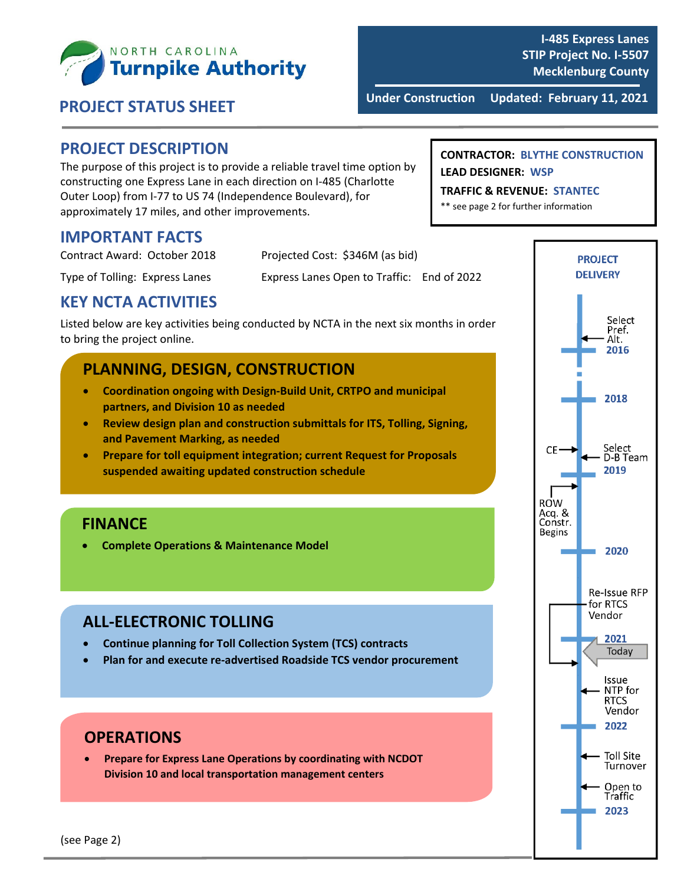

 **Under Construction Updated: February 11, <sup>2021</sup> PROJECT STATUS SHEET**

#### **PROJECT DESCRIPTION**

The purpose of this project is to provide a reliable travel time option by constructing one Express Lane in each direction on I‐485 (Charlotte Outer Loop) from I‐77 to US 74 (Independence Boulevard), for approximately 17 miles, and other improvements.

#### **IMPORTANT FACTS**

| Contract Award: October 2018   | Projected Cost: \$346M (as bid)            |  |
|--------------------------------|--------------------------------------------|--|
| Type of Tolling: Express Lanes | Express Lanes Open to Traffic: End of 2022 |  |

#### **KEY NCTA ACTIVITIES**

Listed below are key activities being conducted by NCTA in the next six months in order to bring the project online.

#### **PLANNING, DESIGN, CONSTRUCTION**

- **Coordination ongoing with Design‐Build Unit, CRTPO and municipal partners, and Division 10 as needed**
- **Review design plan and construction submittals for ITS, Tolling, Signing, and Pavement Marking, as needed**
- **Prepare for toll equipment integration; current Request for Proposals suspended awaiting updated construction schedule**

#### **FINANCE**

**Complete Operations & Maintenance Model**

#### **ALL‐ELECTRONIC TOLLING**

- **Continue planning for Toll Collection System (TCS) contracts**
- **Plan for and execute re‐advertised Roadside TCS vendor procurement**

#### **OPERATIONS**

 **Prepare for Express Lane Operations by coordinating with NCDOT Division 10 and local transportation management centers**

#### **CONTRACTOR: BLYTHE CONSTRUCTION LEAD DESIGNER: WSP**

**TRAFFIC & REVENUE: STANTEC**

\*\* see page 2 for further information

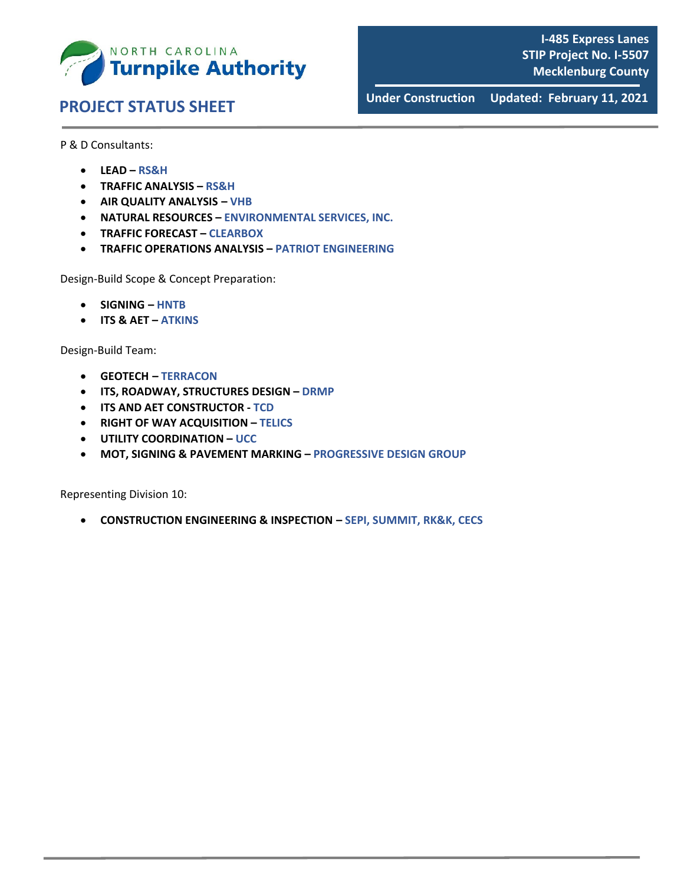

 **Under Construction Updated: February 11, <sup>2021</sup> PROJECT STATUS SHEET**

P & D Consultants:

- **LEAD – RS&H**
- **TRAFFIC ANALYSIS – RS&H**
- **AIR QUALITY ANALYSIS – VHB**
- **NATURAL RESOURCES – ENVIRONMENTAL SERVICES, INC.**
- **TRAFFIC FORECAST – CLEARBOX**
- **TRAFFIC OPERATIONS ANALYSIS – PATRIOT ENGINEERING**

Design‐Build Scope & Concept Preparation:

- **SIGNING – HNTB**
- **ITS & AET – ATKINS**

Design‐Build Team:

- **GEOTECH – TERRACON**
- **ITS, ROADWAY, STRUCTURES DESIGN – DRMP**
- **ITS AND AET CONSTRUCTOR ‐ TCD**
- **RIGHT OF WAY ACQUISITION – TELICS**
- **UTILITY COORDINATION – UCC**
- **MOT, SIGNING & PAVEMENT MARKING – PROGRESSIVE DESIGN GROUP**

Representing Division 10:

**CONSTRUCTION ENGINEERING & INSPECTION – SEPI, SUMMIT, RK&K, CECS**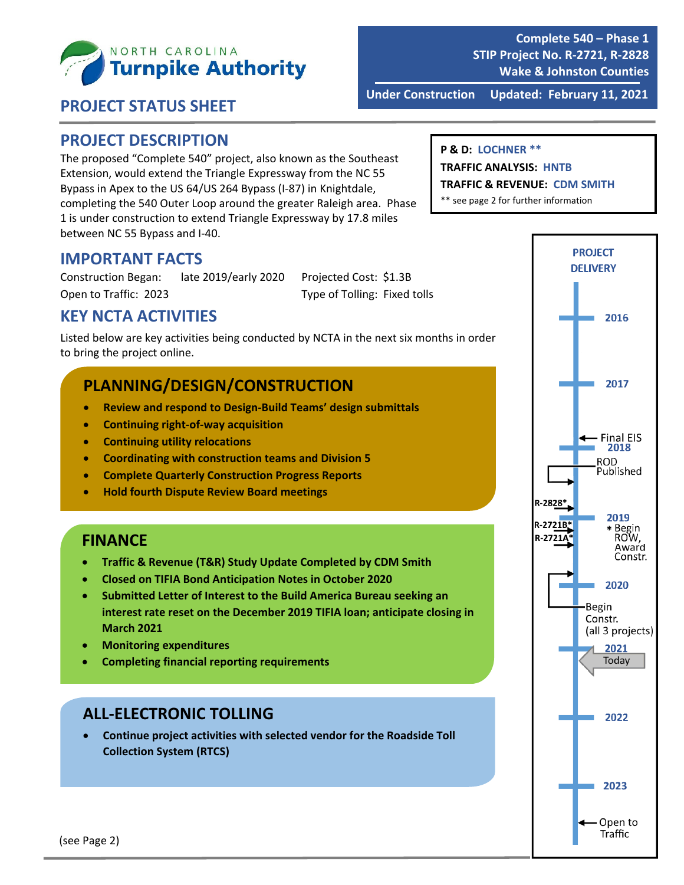

**Complete 540 – Phase 1 STIP Project No. R‐2721, R‐2828 Wake & Johnston Counties**

 **PROJECT STATUS SHEET**

**Under Construction Updated: February 11, 2021**

#### **PROJECT DESCRIPTION**

The proposed "Complete 540" project, also known as the Southeast Extension, would extend the Triangle Expressway from the NC 55 Bypass in Apex to the US 64/US 264 Bypass (I‐87) in Knightdale, completing the 540 Outer Loop around the greater Raleigh area. Phase 1 is under construction to extend Triangle Expressway by 17.8 miles between NC 55 Bypass and I‐40.

#### **P & D: LOCHNER \*\***

**TRAFFIC ANALYSIS: HNTB**

**TRAFFIC & REVENUE: CDM SMITH**

\*\* see page 2 for further information

#### **IMPORTANT FACTS**

Construction Began: late 2019/early 2020 Projected Cost: \$1.3B Open to Traffic: 2023 Type of Tolling: Fixed tolls

#### **KEY NCTA ACTIVITIES**

Listed below are key activities being conducted by NCTA in the next six months in order to bring the project online.

## **PLANNING/DESIGN/CONSTRUCTION**

- **Review and respond to Design‐Build Teams' design submittals**
- **Continuing right‐of‐way acquisition**
- **Continuing utility relocations**
- **Coordinating with construction teams and Division 5**
- **Complete Quarterly Construction Progress Reports**
- **Hold fourth Dispute Review Board meetings**

#### **FINANCE**

- **Traffic & Revenue (T&R) Study Update Completed by CDM Smith**
- **Closed on TIFIA Bond Anticipation Notes in October 2020**
- **Submitted Letter of Interest to the Build America Bureau seeking an interest rate reset on the December 2019 TIFIA loan; anticipate closing in March 2021**
- **Monitoring expenditures**
- **Completing financial reporting requirements**

#### **ALL‐ELECTRONIC TOLLING**

 **Continue project activities with selected vendor for the Roadside Toll Collection System (RTCS)**

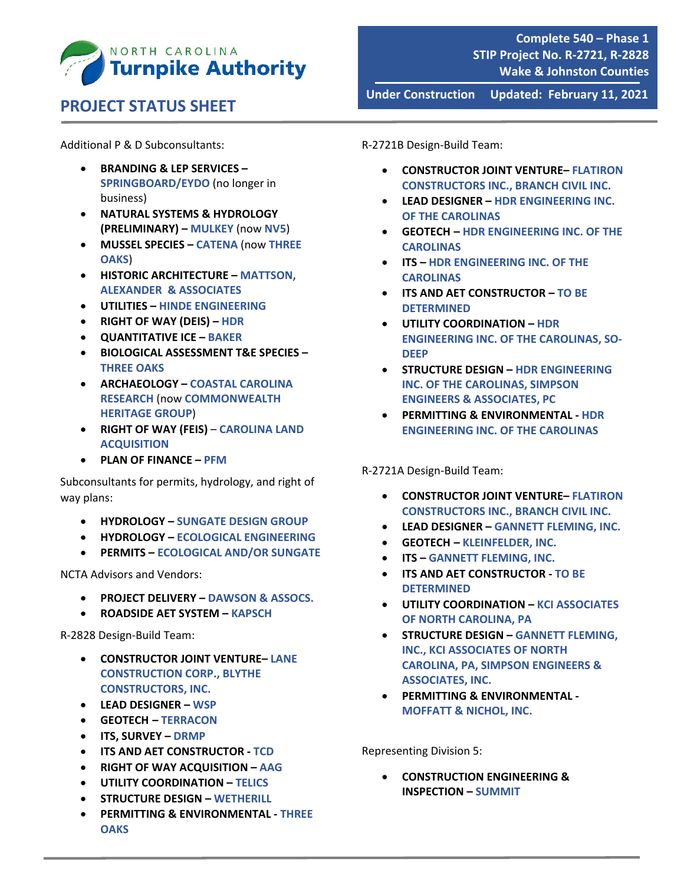

Additional P & D Subconsultants:

- **BRANDING & LEP SERVICES – SPRINGBOARD/EYDO** (no longer in business)
- **NATURAL SYSTEMS & HYDROLOGY (PRELIMINARY) – MULKEY** (now **NV5**)
- **MUSSEL SPECIES – CATENA** (now **THREE OAKS**)
- **HISTORIC ARCHITECTURE – MATTSON, ALEXANDER & ASSOCIATES**
- **UTILITIES – HINDE ENGINEERING**
- **RIGHT OF WAY (DEIS) – HDR**
- **QUANTITATIVE ICE – BAKER**
- **BIOLOGICAL ASSESSMENT T&E SPECIES – THREE OAKS**
- **ARCHAEOLOGY – COASTAL CAROLINA RESEARCH** (now **COMMONWEALTH HERITAGE GROUP**)
- **RIGHT OF WAY (FEIS) CAROLINA LAND ACQUISITION**
- **PLAN OF FINANCE – PFM**

Subconsultants for permits, hydrology, and right of way plans:

- **HYDROLOGY – SUNGATE DESIGN GROUP**
- **HYDROLOGY – ECOLOGICAL ENGINEERING**
- **PERMITS – ECOLOGICAL AND/OR SUNGATE**

NCTA Advisors and Vendors:

- **PROJECT DELIVERY – DAWSON & ASSOCS.**
- **ROADSIDE AET SYSTEM – KAPSCH**

R‐2828 Design‐Build Team:

- **CONSTRUCTOR JOINT VENTURE– LANE CONSTRUCTION CORP., BLYTHE CONSTRUCTORS, INC.**
- **LEAD DESIGNER – WSP**
- **GEOTECH – TERRACON**
- **ITS, SURVEY – DRMP**
- **ITS AND AET CONSTRUCTOR ‐ TCD**
- **RIGHT OF WAY ACQUISITION – AAG**
- **UTILITY COORDINATION – TELICS**
- **STRUCTURE DESIGN – WETHERILL**
- **PERMITTING & ENVIRONMENTAL ‐ THREE OAKS**

R‐2721B Design‐Build Team:

 **CONSTRUCTOR JOINT VENTURE– FLATIRON CONSTRUCTORS INC., BRANCH CIVIL INC.**

**Under Construction Updated: February 11, 2021**

- **LEAD DESIGNER – HDR ENGINEERING INC. OF THE CAROLINAS**
- **GEOTECH – HDR ENGINEERING INC. OF THE CAROLINAS**
- **ITS – HDR ENGINEERING INC. OF THE CAROLINAS**
- **ITS AND AET CONSTRUCTOR – TO BE DETERMINED**
- **UTILITY COORDINATION – HDR ENGINEERING INC. OF THE CAROLINAS, SO‐ DEEP**
- **STRUCTURE DESIGN – HDR ENGINEERING INC. OF THE CAROLINAS, SIMPSON ENGINEERS & ASSOCIATES, PC**
- **PERMITTING & ENVIRONMENTAL ‐ HDR ENGINEERING INC. OF THE CAROLINAS**

R‐2721A Design‐Build Team:

- **CONSTRUCTOR JOINT VENTURE– FLATIRON CONSTRUCTORS INC., BRANCH CIVIL INC.**
- **LEAD DESIGNER – GANNETT FLEMING, INC.**
- **GEOTECH – KLEINFELDER, INC.**
- **ITS – GANNETT FLEMING, INC.**
- **ITS AND AET CONSTRUCTOR ‐ TO BE DETERMINED**
- **UTILITY COORDINATION – KCI ASSOCIATES OF NORTH CAROLINA, PA**
- **STRUCTURE DESIGN – GANNETT FLEMING, INC., KCI ASSOCIATES OF NORTH CAROLINA, PA, SIMPSON ENGINEERS & ASSOCIATES, INC.**
- **PERMITTING & ENVIRONMENTAL ‐ MOFFATT & NICHOL, INC.**

Representing Division 5:

 **CONSTRUCTION ENGINEERING & INSPECTION – SUMMIT**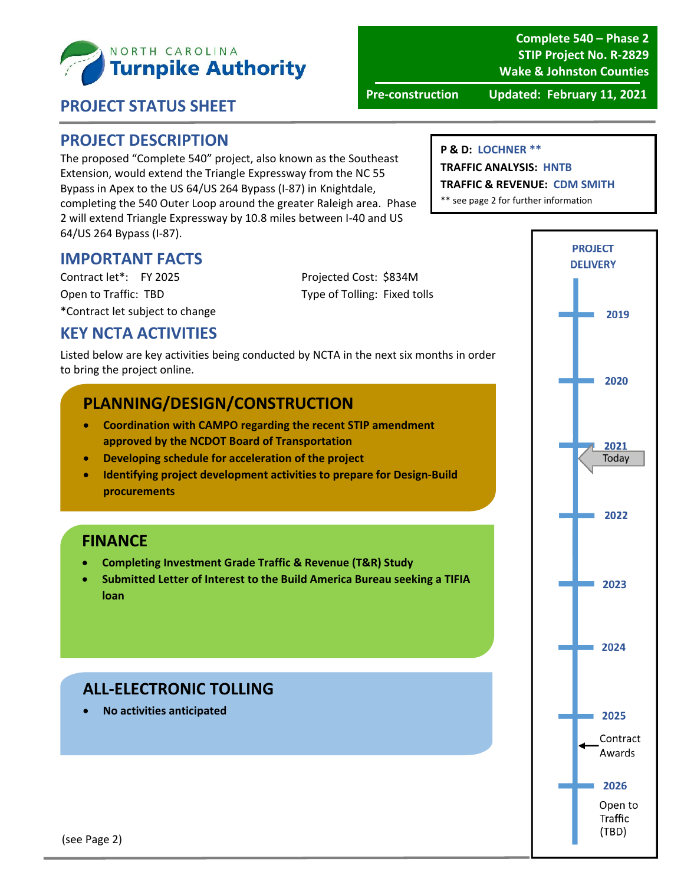

**Complete 540 – Phase 2 STIP Project No. R‐2829 Wake & Johnston Counties**

#### **PROJECT STATUS SHEET**

**Pre‐construction Updated: February 11, 2021**

#### **PROJECT DESCRIPTION**

The proposed "Complete 540" project, also known as the Southeast Extension, would extend the Triangle Expressway from the NC 55 Bypass in Apex to the US 64/US 264 Bypass (I‐87) in Knightdale, completing the 540 Outer Loop around the greater Raleigh area. Phase 2 will extend Triangle Expressway by 10.8 miles between I‐40 and US 64/US 264 Bypass (I‐87).

#### **P & D: LOCHNER \*\***

#### **TRAFFIC ANALYSIS: HNTB**

**TRAFFIC & REVENUE: CDM SMITH**

\*\* see page 2 for further information

#### **IMPORTANT FACTS**

Contract let\*: FY 2025 Projected Cost: \$834M Open to Traffic: TBD Type of Tolling: Fixed tolls \*Contract let subject to change

#### **KEY NCTA ACTIVITIES**

Listed below are key activities being conducted by NCTA in the next six months in order to bring the project online.

#### **PLANNING/DESIGN/CONSTRUCTION**

- **Coordination with CAMPO regarding the recent STIP amendment approved by the NCDOT Board of Transportation**
- **Developing schedule for acceleration of the project**
- **Identifying project development activities to prepare for Design‐Build procurements**

#### **FINANCE**

- **Completing Investment Grade Traffic & Revenue (T&R) Study**
- **Submitted Letter of Interest to the Build America Bureau seeking a TIFIA loan**

## **ALL‐ELECTRONIC TOLLING**

**No activities anticipated**

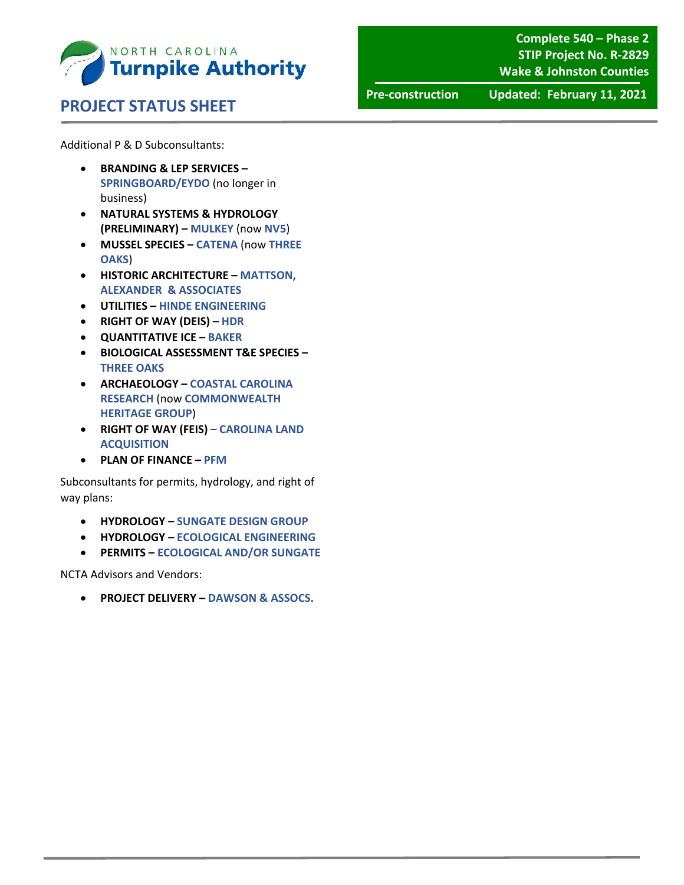

**Complete 540 – Phase 2 STIP Project No. R‐2829 Wake & Johnston Counties**

**Pre‐construction Updated: February 11, 2021**

Additional P & D Subconsultants:

- **BRANDING & LEP SERVICES – SPRINGBOARD/EYDO** (no longer in business)
- **NATURAL SYSTEMS & HYDROLOGY (PRELIMINARY) – MULKEY** (now **NV5**)
- **MUSSEL SPECIES – CATENA** (now **THREE OAKS**)
- **HISTORIC ARCHITECTURE – MATTSON, ALEXANDER & ASSOCIATES**
- **UTILITIES – HINDE ENGINEERING**
- **RIGHT OF WAY (DEIS) – HDR**
- **QUANTITATIVE ICE – BAKER**
- **BIOLOGICAL ASSESSMENT T&E SPECIES – THREE OAKS**
- **ARCHAEOLOGY – COASTAL CAROLINA RESEARCH** (now **COMMONWEALTH HERITAGE GROUP**)
- **RIGHT OF WAY (FEIS) CAROLINA LAND ACQUISITION**
- **PLAN OF FINANCE – PFM**

Subconsultants for permits, hydrology, and right of way plans:

- **HYDROLOGY – SUNGATE DESIGN GROUP**
- **HYDROLOGY – ECOLOGICAL ENGINEERING**
- **PERMITS – ECOLOGICAL AND/OR SUNGATE**

NCTA Advisors and Vendors:

**PROJECT DELIVERY – DAWSON & ASSOCS.**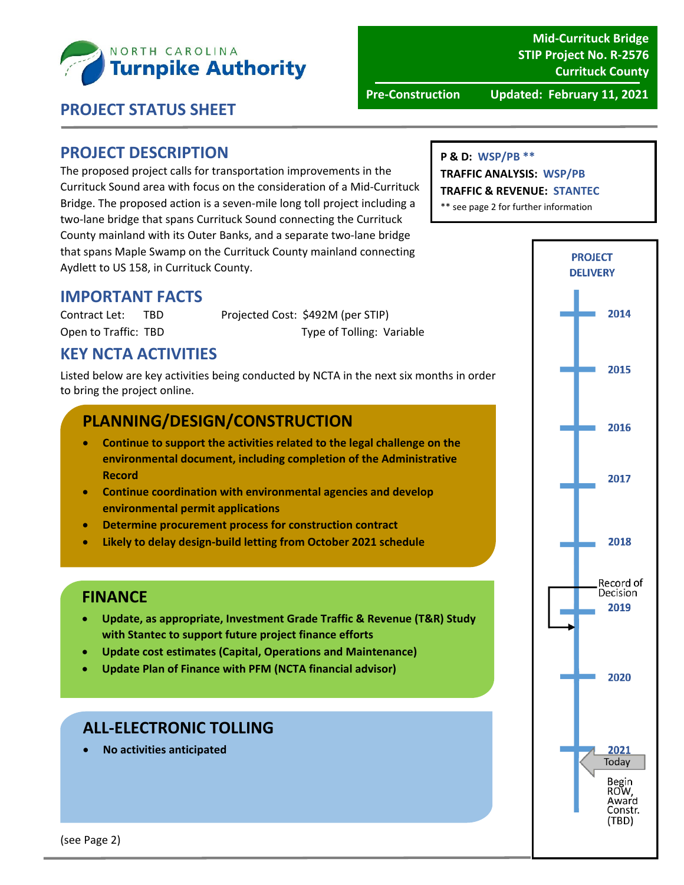

**Mid‐Currituck Bridge STIP Project No. R‐2576 Currituck County**

**Pre‐Construction Updated: February 11, 2021**

#### **PROJECT STATUS SHEET**

#### **PROJECT DESCRIPTION**

The proposed project calls for transportation improvements in the Currituck Sound area with focus on the consideration of a Mid‐Currituck Bridge. The proposed action is a seven‐mile long toll project including a two‐lane bridge that spans Currituck Sound connecting the Currituck County mainland with its Outer Banks, and a separate two‐lane bridge that spans Maple Swamp on the Currituck County mainland connecting Aydlett to US 158, in Currituck County.

#### **P & D: WSP/PB \*\***

#### **TRAFFIC ANALYSIS: WSP/PB**

**TRAFFIC & REVENUE: STANTEC**

\*\* see page 2 for further information

#### **IMPORTANT FACTS**

Contract Let: TBD Projected Cost: \$492M (per STIP) Open to Traffic: TBD Type of Tolling: Variable

## **KEY NCTA ACTIVITIES**

Listed below are key activities being conducted by NCTA in the next six months in order to bring the project online.

#### **PLANNING/DESIGN/CONSTRUCTION**

- **Continue to support the activities related to the legal challenge on the environmental document, including completion of the Administrative Record**
- **Continue coordination with environmental agencies and develop environmental permit applications**
- **Determine procurement process for construction contract**
- **Likely to delay design‐build letting from October 2021 schedule**

#### **FINANCE**

- **Update, as appropriate, Investment Grade Traffic & Revenue (T&R) Study with Stantec to support future project finance efforts**
- **Update cost estimates (Capital, Operations and Maintenance)**
- **Update Plan of Finance with PFM (NCTA financial advisor)**

#### **ALL‐ELECTRONIC TOLLING**

**No activities anticipated**



(see Page 2)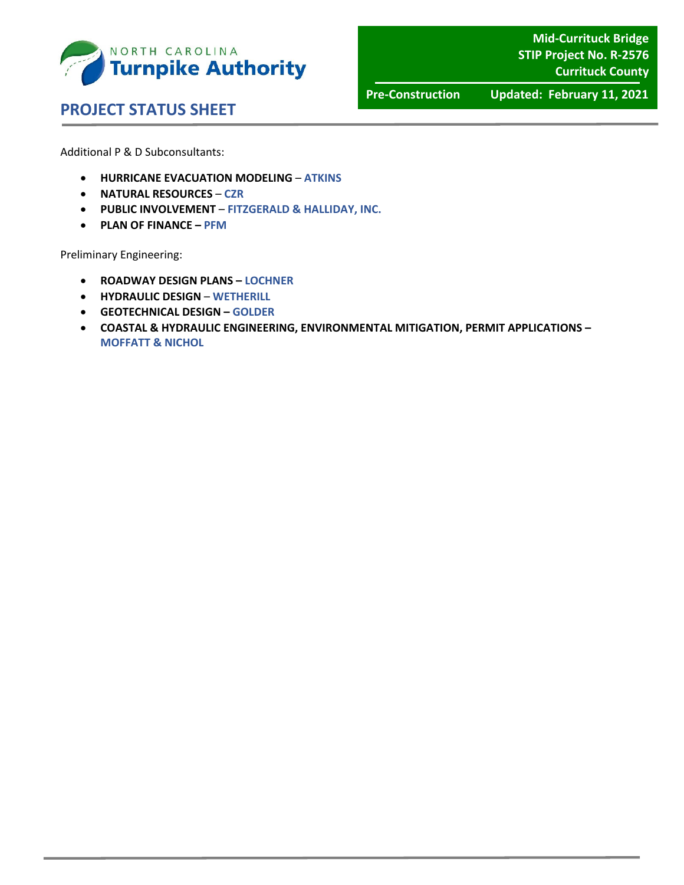

**Mid‐Currituck Bridge STIP Project No. R‐2576 Currituck County**

 **PROJECT STATUS SHEET** 

**Pre‐Construction Updated: February 11, 2021**

Additional P & D Subconsultants:

- **HURRICANE EVACUATION MODELING ATKINS**
- **NATURAL RESOURCES CZR**
- **PUBLIC INVOLVEMENT FITZGERALD & HALLIDAY, INC.**
- **PLAN OF FINANCE – PFM**

Preliminary Engineering:

- **ROADWAY DESIGN PLANS – LOCHNER**
- **HYDRAULIC DESIGN WETHERILL**
- **GEOTECHNICAL DESIGN – GOLDER**
- **COASTAL & HYDRAULIC ENGINEERING, ENVIRONMENTAL MITIGATION, PERMIT APPLICATIONS – MOFFATT & NICHOL**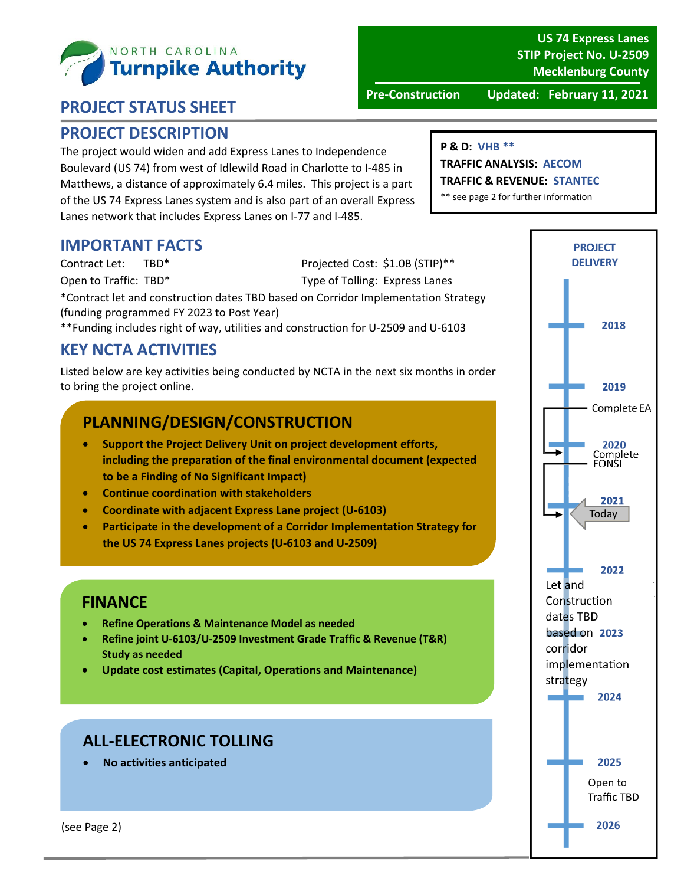

#### **PROJECT DESCRIPTION**

The project would widen and add Express Lanes to Independence Boulevard (US 74) from west of Idlewild Road in Charlotte to I‐485 in Matthews, a distance of approximately 6.4 miles. This project is a part of the US 74 Express Lanes system and is also part of an overall Express Lanes network that includes Express Lanes on I‐77 and I‐485.

#### **IMPORTANT FACTS**

Contract Let: TBD\* Projected Cost: \$1.0B (STIP)\*\*

Open to Traffic: TBD\* Type of Tolling: Express Lanes

\*Contract let and construction dates TBD based on Corridor Implementation Strategy (funding programmed FY 2023 to Post Year)

\*\*Funding includes right of way, utilities and construction for U‐2509 and U‐6103

## **KEY NCTA ACTIVITIES**

Listed below are key activities being conducted by NCTA in the next six months in order to bring the project online.

## **PLANNING/DESIGN/CONSTRUCTION**

- **Support the Project Delivery Unit on project development efforts, including the preparation of the final environmental document (expected to be a Finding of No Significant Impact)**
- **Continue coordination with stakeholders**
- **Coordinate with adjacent Express Lane project (U‐6103)**
- **Participate in the development of a Corridor Implementation Strategy for the US 74 Express Lanes projects (U‐6103 and U‐2509)**

#### **FINANCE**

- **Refine Operations & Maintenance Model as needed**
- **Refine joint U‐6103/U‐2509 Investment Grade Traffic & Revenue (T&R) Study as needed**
- **Update cost estimates (Capital, Operations and Maintenance)**

## **ALL‐ELECTRONIC TOLLING**

**No activities anticipated**

#### **P & D: VHB \*\***

**TRAFFIC ANALYSIS: AECOM TRAFFIC & REVENUE: STANTEC**

\*\* see page 2 for further information

#### **US 74 Express Lanes STIP Project No. U‐2509 Mecklenburg County**

**PROJECT DELIVERY** 

2018

**Pre‐Construction Updated: February 11, 2021**

2019 Complete EA 2020 Complete<br>FONSI 2021 Todav 2022 Let and Construction dates TBD based on 2023 corridor implementation strategy 2024 2025 Open to **Traffic TBD** 2026

(see Page 2)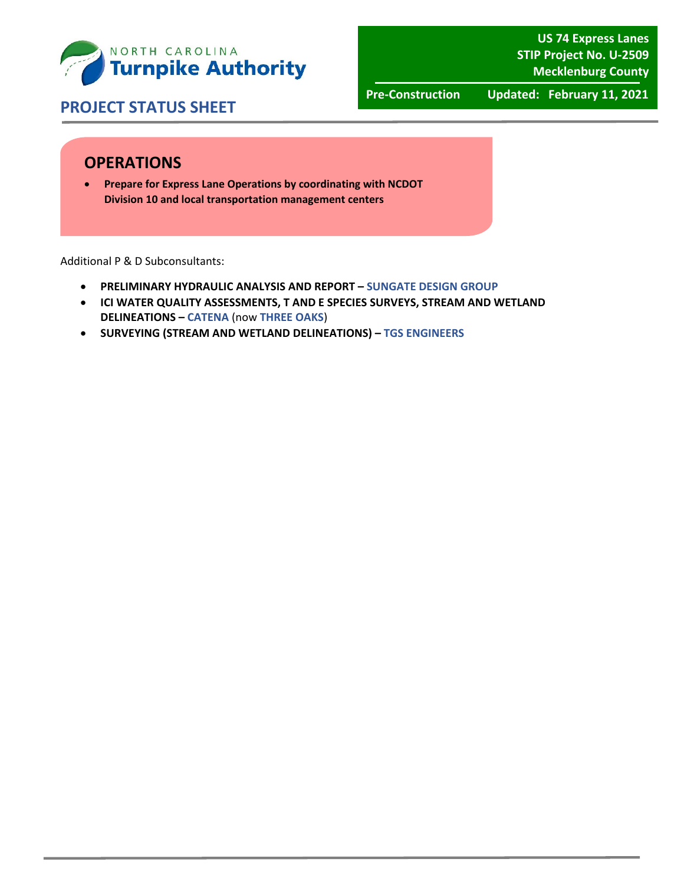

**Pre‐Construction Updated: February 11, 2021**

#### **OPERATIONS**

 **Prepare for Express Lane Operations by coordinating with NCDOT Division 10 and local transportation management centers**

Additional P & D Subconsultants:

- **PRELIMINARY HYDRAULIC ANALYSIS AND REPORT – SUNGATE DESIGN GROUP**
- **ICI WATER QUALITY ASSESSMENTS, T AND E SPECIES SURVEYS, STREAM AND WETLAND DELINEATIONS – CATENA** (now **THREE OAKS**)
- **SURVEYING (STREAM AND WETLAND DELINEATIONS) – TGS ENGINEERS**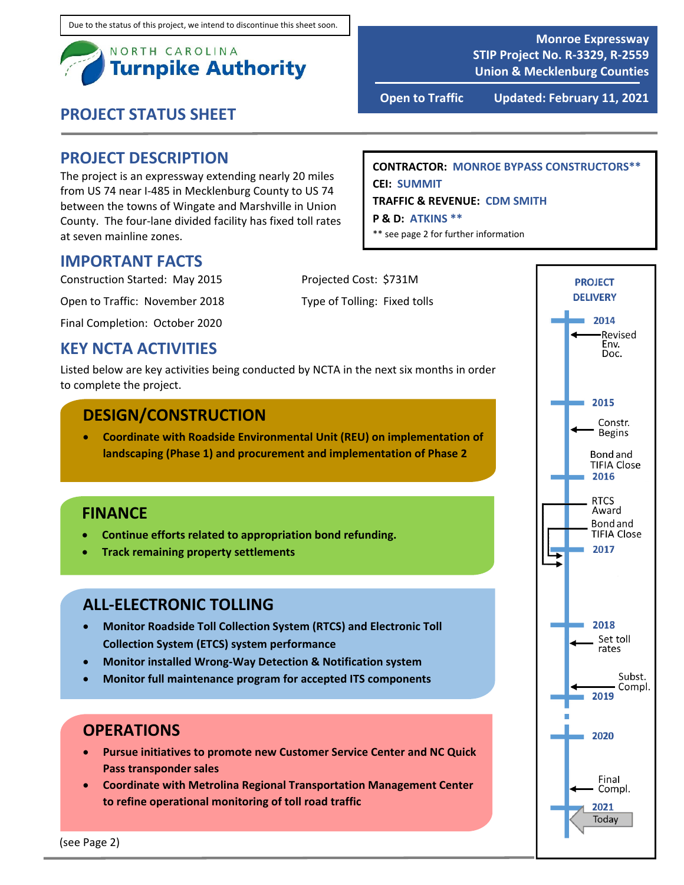

#### **PROJECT DESCRIPTION**

The project is an expressway extending nearly 20 miles from US 74 near I‐485 in Mecklenburg County to US 74 between the towns of Wingate and Marshville in Union County. The four‐lane divided facility has fixed toll rates at seven mainline zones.

#### **CONTRACTOR: MONROE BYPASS CONSTRUCTORS\*\* CEI: SUMMIT TRAFFIC & REVENUE: CDM SMITH**

**P & D: ATKINS \*\***

\*\* see page 2 for further information

**IMPORTANT FACTS**

Construction Started: May 2015 Projected Cost: \$731M

Open to Traffic: November 2018 Type of Tolling: Fixed tolls

Final Completion: October 2020

#### **KEY NCTA ACTIVITIES**

Listed below are key activities being conducted by NCTA in the next six months in order to complete the project.

#### **DESIGN/CONSTRUCTION**

 **Coordinate with Roadside Environmental Unit (REU) on implementation of landscaping (Phase 1) and procurement and implementation of Phase 2**

#### **FINANCE**

- **Continue efforts related to appropriation bond refunding.**
- **Track remaining property settlements**

#### **ALL‐ELECTRONIC TOLLING**

- **Monitor Roadside Toll Collection System (RTCS) and Electronic Toll Collection System (ETCS) system performance**
- **Monitor installed Wrong‐Way Detection & Notification system**
- **Monitor full maintenance program for accepted ITS components**

#### **OPERATIONS**

- **Pursue initiatives to promote new Customer Service Center and NC Quick Pass transponder sales**
- **Coordinate with Metrolina Regional Transportation Management Center to refine operational monitoring of toll road traffic**



**Monroe Expressway STIP Project No. R‐3329, R‐2559 Union & Mecklenburg Counties**

**Open to Traffic Updated: February 11, 2021**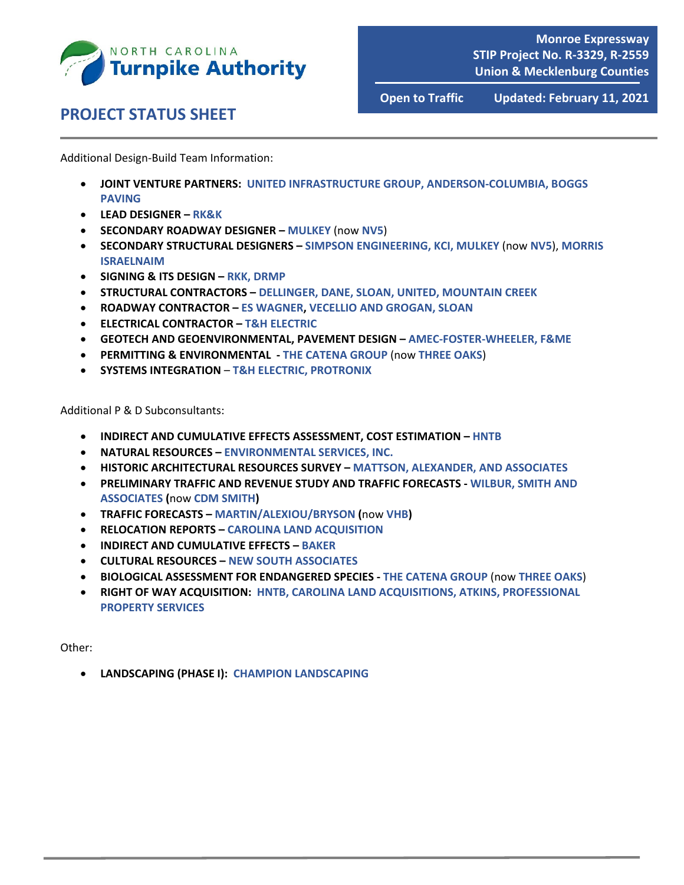

**Open to Traffic Updated: February 11, 2021**

Additional Design‐Build Team Information:

- **JOINT VENTURE PARTNERS: UNITED INFRASTRUCTURE GROUP, ANDERSON‐COLUMBIA, BOGGS PAVING**
- **LEAD DESIGNER – RK&K**
- **SECONDARY ROADWAY DESIGNER – MULKEY** (now **NV5**)
- **SECONDARY STRUCTURAL DESIGNERS – SIMPSON ENGINEERING, KCI, MULKEY** (now **NV5**), **MORRIS ISRAELNAIM**
- **SIGNING & ITS DESIGN – RKK, DRMP**
- **STRUCTURAL CONTRACTORS – DELLINGER, DANE, SLOAN, UNITED, MOUNTAIN CREEK**
- **ROADWAY CONTRACTOR – ES WAGNER, VECELLIO AND GROGAN, SLOAN**
- **ELECTRICAL CONTRACTOR – T&H ELECTRIC**
- **GEOTECH AND GEOENVIRONMENTAL, PAVEMENT DESIGN – AMEC‐FOSTER‐WHEELER, F&ME**
- **PERMITTING & ENVIRONMENTAL ‐ THE CATENA GROUP** (now **THREE OAKS**)
- **SYSTEMS INTEGRATION T&H ELECTRIC, PROTRONIX**

Additional P & D Subconsultants:

- **INDIRECT AND CUMULATIVE EFFECTS ASSESSMENT, COST ESTIMATION – HNTB**
- **NATURAL RESOURCES – ENVIRONMENTAL SERVICES, INC.**
- **HISTORIC ARCHITECTURAL RESOURCES SURVEY – MATTSON, ALEXANDER, AND ASSOCIATES**
- **PRELIMINARY TRAFFIC AND REVENUE STUDY AND TRAFFIC FORECASTS ‐ WILBUR, SMITH AND ASSOCIATES (**now **CDM SMITH)**
- **TRAFFIC FORECASTS – MARTIN/ALEXIOU/BRYSON (**now **VHB)**
- **RELOCATION REPORTS – CAROLINA LAND ACQUISITION**
- **INDIRECT AND CUMULATIVE EFFECTS – BAKER**
- **CULTURAL RESOURCES – NEW SOUTH ASSOCIATES**
- **BIOLOGICAL ASSESSMENT FOR ENDANGERED SPECIES ‐ THE CATENA GROUP** (now **THREE OAKS**)
- **RIGHT OF WAY ACQUISITION: HNTB, CAROLINA LAND ACQUISITIONS, ATKINS, PROFESSIONAL PROPERTY SERVICES**

Other:

**LANDSCAPING (PHASE I): CHAMPION LANDSCAPING**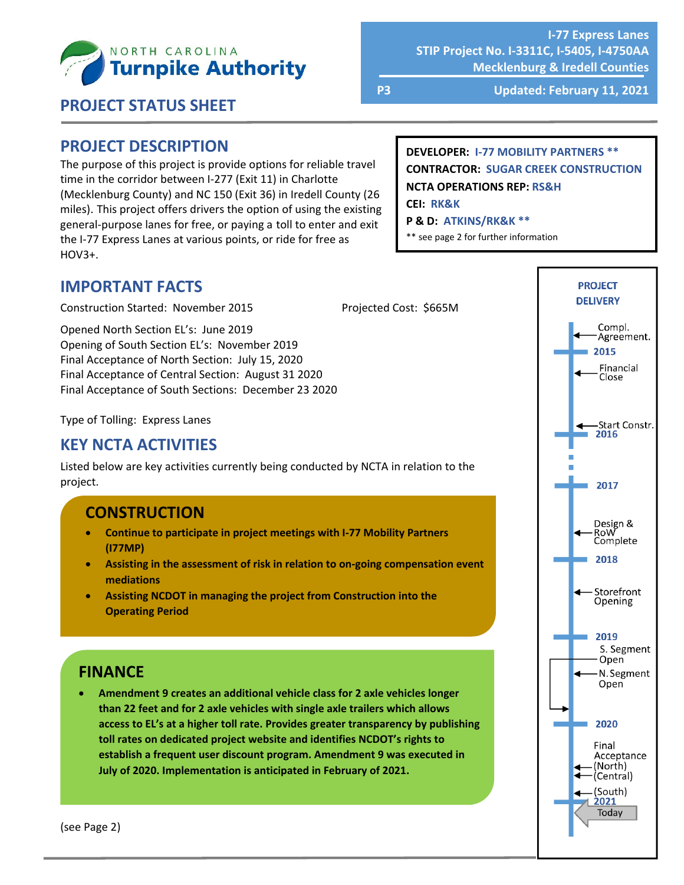

**I‐77 Express Lanes STIP Project No. I‐3311C, I‐5405, I‐4750AA Mecklenburg & Iredell Counties**

 **PROJECT STATUS SHEET**

**P3 Updated: February 11, 2021**

#### **PROJECT DESCRIPTION**

The purpose of this project is provide options for reliable travel time in the corridor between I‐277 (Exit 11) in Charlotte (Mecklenburg County) and NC 150 (Exit 36) in Iredell County (26 miles). This project offers drivers the option of using the existing general‐purpose lanes for free, or paying a toll to enter and exit the I-77 Express Lanes at various points, or ride for free as HOV3+.

**DEVELOPER: I‐77 MOBILITY PARTNERS \*\* CONTRACTOR: SUGAR CREEK CONSTRUCTION NCTA OPERATIONS REP: RS&H**

**CEI: RK&K**

#### **P & D: ATKINS/RK&K \*\***

\*\* see page 2 for further information

#### **IMPORTANT FACTS**

Construction Started: November 2015 Projected Cost: \$665M

Opened North Section EL's: June 2019 Opening of South Section EL's: November 2019 Final Acceptance of North Section: July 15, 2020 Final Acceptance of Central Section: August 31 2020 Final Acceptance of South Sections: December 23 2020

Type of Tolling: Express Lanes

## **KEY NCTA ACTIVITIES**

Listed below are key activities currently being conducted by NCTA in relation to the project.

## **CONSTRUCTION**

- **Continue to participate in project meetings with I‐77 Mobility Partners (I77MP)**
- **Assisting in the assessment of risk in relation to on‐going compensation event mediations**
- **Assisting NCDOT in managing the project from Construction into the Operating Period**

## **FINANCE**

 **Amendment 9 creates an additional vehicle class for 2 axle vehicles longer than 22 feet and for 2 axle vehicles with single axle trailers which allows access to EL's at a higher toll rate. Provides greater transparency by publishing toll rates on dedicated project website and identifies NCDOT's rights to establish a frequent user discount program. Amendment 9 was executed in July of 2020. Implementation is anticipated in February of 2021.** 



(see Page 2)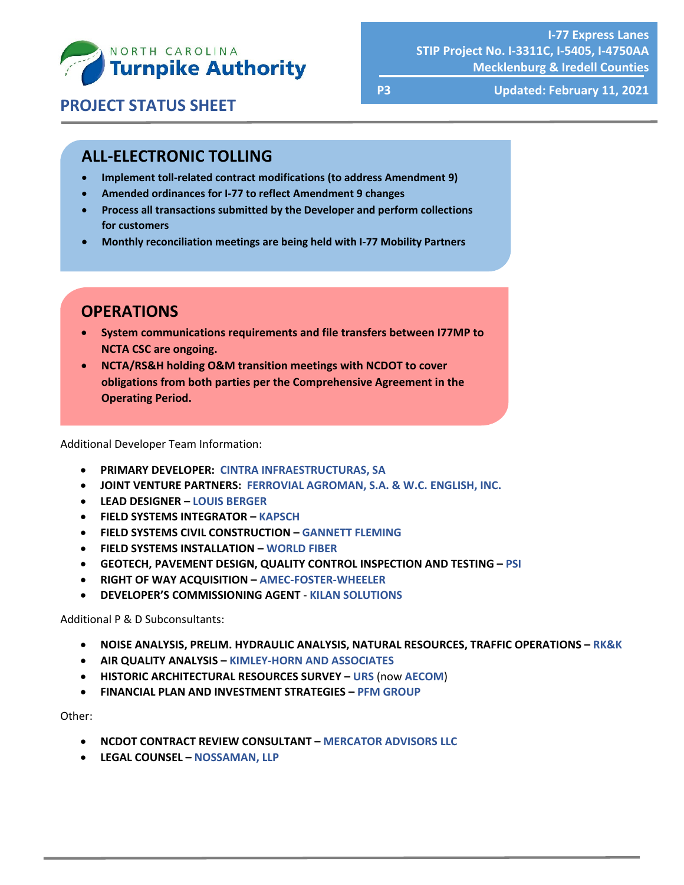

**P3 Updated: February 11, 2021**

## **ALL‐ELECTRONIC TOLLING**

- **Implement toll‐related contract modifications (to address Amendment 9)**
- **Amended ordinances for I‐77 to reflect Amendment 9 changes**
- **Process all transactions submitted by the Developer and perform collections for customers**
- **Monthly reconciliation meetings are being held with I‐77 Mobility Partners**

## **OPERATIONS**

- **System communications requirements and file transfers between I77MP to NCTA CSC are ongoing.**
- **NCTA/RS&H holding O&M transition meetings with NCDOT to cover obligations from both parties per the Comprehensive Agreement in the Operating Period.**

Additional Developer Team Information:

- **PRIMARY DEVELOPER: CINTRA INFRAESTRUCTURAS, SA**
- **JOINT VENTURE PARTNERS: FERROVIAL AGROMAN, S.A. & W.C. ENGLISH, INC.**
- **LEAD DESIGNER – LOUIS BERGER**
- **FIELD SYSTEMS INTEGRATOR – KAPSCH**
- **FIELD SYSTEMS CIVIL CONSTRUCTION – GANNETT FLEMING**
- **FIELD SYSTEMS INSTALLATION – WORLD FIBER**
- **GEOTECH, PAVEMENT DESIGN, QUALITY CONTROL INSPECTION AND TESTING – PSI**
- **RIGHT OF WAY ACQUISITION – AMEC‐FOSTER‐WHEELER**
- **DEVELOPER'S COMMISSIONING AGENT** ‐ **KILAN SOLUTIONS**

Additional P & D Subconsultants:

- **NOISE ANALYSIS, PRELIM. HYDRAULIC ANALYSIS, NATURAL RESOURCES, TRAFFIC OPERATIONS – RK&K**
- **AIR QUALITY ANALYSIS – KIMLEY‐HORN AND ASSOCIATES**
- **HISTORIC ARCHITECTURAL RESOURCES SURVEY – URS** (now **AECOM**)
- **FINANCIAL PLAN AND INVESTMENT STRATEGIES – PFM GROUP**

Other:

- **NCDOT CONTRACT REVIEW CONSULTANT – MERCATOR ADVISORS LLC**
- **LEGAL COUNSEL – NOSSAMAN, LLP**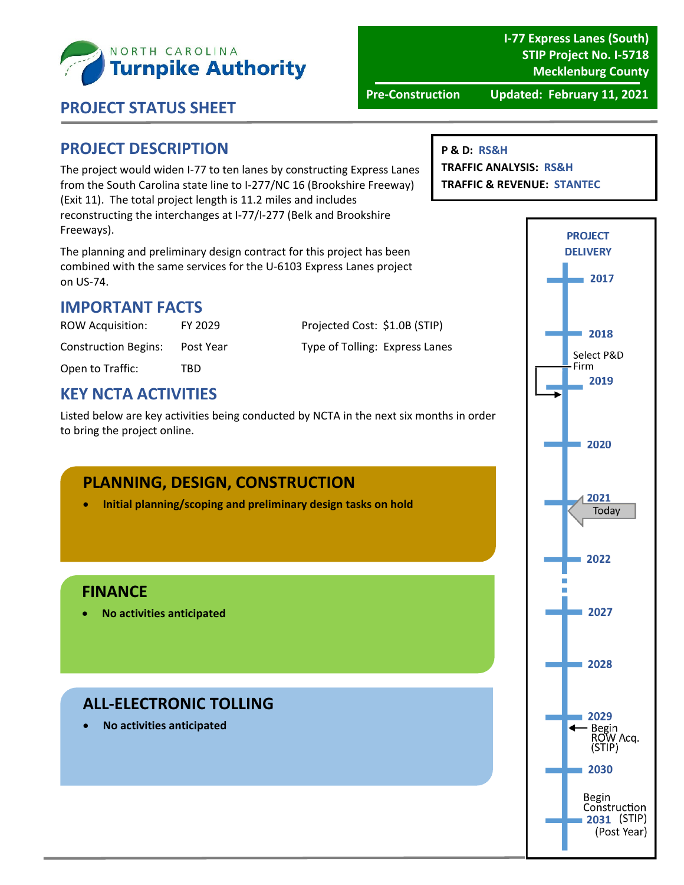

**I‐77 Express Lanes (South) STIP Project No. I‐5718 Mecklenburg County**

 **PROJECT STATUS SHEET**

**Pre‐Construction Updated: February 11, 2021**

#### **PROJECT DESCRIPTION**

The project would widen I‐77 to ten lanes by constructing Express Lanes from the South Carolina state line to I‐277/NC 16 (Brookshire Freeway) (Exit 11). The total project length is 11.2 miles and includes reconstructing the interchanges at I‐77/I‐277 (Belk and Brookshire Freeways).

The planning and preliminary design contract for this project has been combined with the same services for the U‐6103 Express Lanes project on US‐74.

#### **IMPORTANT FACTS**

Open to Traffic: TBD

ROW Acquisition: FY 2029 Projected Cost: \$1.0B (STIP) Construction Begins: Post Year Type of Tolling: Express Lanes

#### **KEY NCTA ACTIVITIES**

Listed below are key activities being conducted by NCTA in the next six months in order to bring the project online.

#### **PLANNING, DESIGN, CONSTRUCTION**

**Initial planning/scoping and preliminary design tasks on hold**

#### **FINANCE**

**No activities anticipated**

## **ALL‐ELECTRONIC TOLLING**

**No activities anticipated**

#### **P & D: RS&H**

**TRAFFIC ANALYSIS: RS&H TRAFFIC & REVENUE: STANTEC**